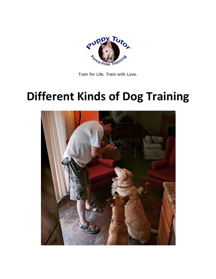

Train for Life. Train with Love.

# **Different Kinds of Dog Training**

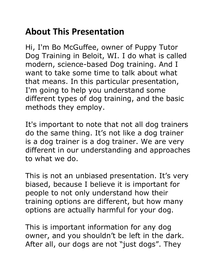# **About This Presentation**

Hi, I'm Bo McGuffee, owner of Puppy Tutor Dog Training in Beloit, WI. I do what is called modern, science-based Dog training. And I want to take some time to talk about what that means. In this particular presentation, I'm going to help you understand some different types of dog training, and the basic methods they employ.

It's important to note that not all dog trainers do the same thing. It's not like a dog trainer is a dog trainer is a dog trainer. We are very different in our understanding and approaches to what we do.

This is not an unbiased presentation. It's very biased, because I believe it is important for people to not only understand how their training options are different, but how many options are actually harmful for your dog.

This is important information for any dog owner, and you shouldn't be left in the dark. After all, our dogs are not "just dogs". They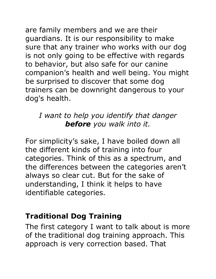are family members and we are their guardians. It is our responsibility to make sure that any trainer who works with our dog is not only going to be effective with regards to behavior, but also safe for our canine companion's health and well being. You might be surprised to discover that some dog trainers can be downright dangerous to your dog's health.

#### *I want to help you identify that danger before you walk into it.*

For simplicity's sake, I have boiled down all the different kinds of training into four categories. Think of this as a spectrum, and the differences between the categories aren't always so clear cut. But for the sake of understanding, I think it helps to have identifiable categories.

#### **Traditional Dog Training**

The first category I want to talk about is more of the traditional dog training approach. This approach is very correction based. That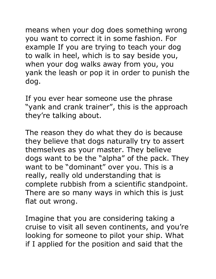means when your dog does something wrong you want to correct it in some fashion. For example If you are trying to teach your dog to walk in heel, which is to say beside you, when your dog walks away from you, you yank the leash or pop it in order to punish the dog.

If you ever hear someone use the phrase "yank and crank trainer", this is the approach they're talking about.

The reason they do what they do is because they believe that dogs naturally try to assert themselves as your master. They believe dogs want to be the "alpha" of the pack. They want to be "dominant" over you. This is a really, really old understanding that is complete rubbish from a scientific standpoint. There are so many ways in which this is just flat out wrong.

Imagine that you are considering taking a cruise to visit all seven continents, and you're looking for someone to pilot your ship. What if I applied for the position and said that the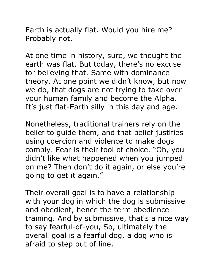Earth is actually flat. Would you hire me? Probably not.

At one time in history, sure, we thought the earth was flat. But today, there's no excuse for believing that. Same with dominance theory. At one point we didn't know, but now we do, that dogs are not trying to take over your human family and become the Alpha. It's just flat-Earth silly in this day and age.

Nonetheless, traditional trainers rely on the belief to guide them, and that belief justifies using coercion and violence to make dogs comply. Fear is their tool of choice. "Oh, you didn't like what happened when you jumped on me? Then don't do it again, or else you're going to get it again."

Their overall goal is to have a relationship with your dog in which the dog is submissive and obedient, hence the term obedience training. And by submissive, that's a nice way to say fearful-of-you, So, ultimately the overall goal is a fearful dog, a dog who is afraid to step out of line.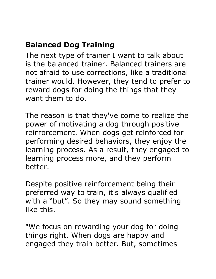### **Balanced Dog Training**

The next type of trainer I want to talk about is the balanced trainer. Balanced trainers are not afraid to use corrections, like a traditional trainer would. However, they tend to prefer to reward dogs for doing the things that they want them to do.

The reason is that they've come to realize the power of motivating a dog through positive reinforcement. When dogs get reinforced for performing desired behaviors, they enjoy the learning process. As a result, they engaged to learning process more, and they perform better.

Despite positive reinforcement being their preferred way to train, it's always qualified with a "but". So they may sound something like this.

"We focus on rewarding your dog for doing things right. When dogs are happy and engaged they train better. But, sometimes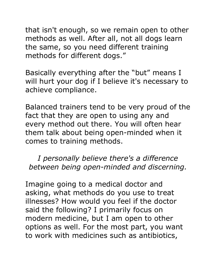that isn't enough, so we remain open to other methods as well. After all, not all dogs learn the same, so you need different training methods for different dogs."

Basically everything after the "but" means I will hurt your dog if I believe it's necessary to achieve compliance.

Balanced trainers tend to be very proud of the fact that they are open to using any and every method out there. You will often hear them talk about being open-minded when it comes to training methods.

*I personally believe there's a difference between being open-minded and discerning.*

Imagine going to a medical doctor and asking, what methods do you use to treat illnesses? How would you feel if the doctor said the following? I primarily focus on modern medicine, but I am open to other options as well. For the most part, you want to work with medicines such as antibiotics,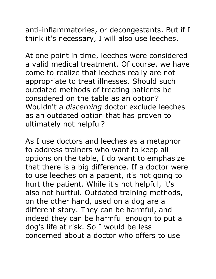anti-inflammatories, or decongestants. But if I think it's necessary, I will also use leeches.

At one point in time, leeches were considered a valid medical treatment. Of course, we have come to realize that leeches really are not appropriate to treat illnesses. Should such outdated methods of treating patients be considered on the table as an option? Wouldn't a *discerning* doctor exclude leeches as an outdated option that has proven to ultimately not helpful?

As I use doctors and leeches as a metaphor to address trainers who want to keep all options on the table, I do want to emphasize that there is a big difference. If a doctor were to use leeches on a patient, it's not going to hurt the patient. While it's not helpful, it's also not hurtful. Outdated training methods, on the other hand, used on a dog are a different story. They can be harmful, and indeed they can be harmful enough to put a dog's life at risk. So I would be less concerned about a doctor who offers to use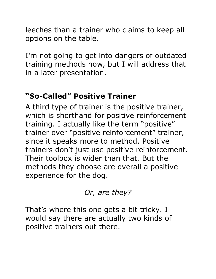leeches than a trainer who claims to keep all options on the table.

I'm not going to get into dangers of outdated training methods now, but I will address that in a later presentation.

#### **"So-Called" Positive Trainer**

A third type of trainer is the positive trainer, which is shorthand for positive reinforcement training. I actually like the term "positive" trainer over "positive reinforcement" trainer, since it speaks more to method. Positive trainers don't just use positive reinforcement. Their toolbox is wider than that. But the methods they choose are overall a positive experience for the dog.

#### *Or, are they?*

That's where this one gets a bit tricky. I would say there are actually two kinds of positive trainers out there.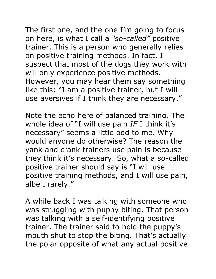The first one, and the one I'm going to focus on here, is what I call a *"so-called"* positive trainer. This is a person who generally relies on positive training methods. In fact, I suspect that most of the dogs they work with will only experience positive methods. However, you may hear them say something like this: "I am a positive trainer, but I will use aversives if I think they are necessary."

Note the echo here of balanced training. The whole idea of "I will use pain *IF* I think it's necessary" seems a little odd to me. Why would anyone do otherwise? The reason the yank and crank trainers use pain is because they think it's necessary. So, what a so-called positive trainer should say is "I will use positive training methods, and I will use pain, albeit rarely."

A while back I was talking with someone who was struggling with puppy biting. That person was talking with a self-identifying positive trainer. The trainer said to hold the puppy's mouth shut to stop the biting. That's actually the polar opposite of what any actual positive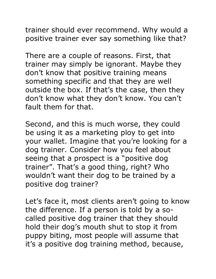trainer should ever recommend. Why would a positive trainer ever say something like that?

There are a couple of reasons. First, that trainer may simply be ignorant. Maybe they don't know that positive training means something specific and that they are well outside the box. If that's the case, then they don't know what they don't know. You can't fault them for that.

Second, and this is much worse, they could be using it as a marketing ploy to get into your wallet. Imagine that you're looking for a dog trainer. Consider how you feel about seeing that a prospect is a "positive dog trainer". That's a good thing, right? Who wouldn't want their dog to be trained by a positive dog trainer?

Let's face it, most clients aren't going to know the difference. If a person is told by a socalled positive dog trainer that they should hold their dog's mouth shut to stop it from puppy biting, most people will assume that it's a positive dog training method, because,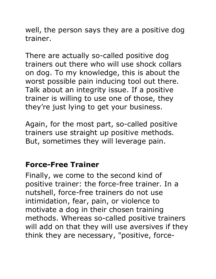well, the person says they are a positive dog trainer.

There are actually so-called positive dog trainers out there who will use shock collars on dog. To my knowledge, this is about the worst possible pain inducing tool out there. Talk about an integrity issue. If a positive trainer is willing to use one of those, they they're just lying to get your business.

Again, for the most part, so-called positive trainers use straight up positive methods. But, sometimes they will leverage pain.

#### **Force-Free Trainer**

Finally, we come to the second kind of positive trainer: the force-free trainer. In a nutshell, force-free trainers do not use intimidation, fear, pain, or violence to motivate a dog in their chosen training methods. Whereas so-called positive trainers will add on that they will use aversives if they think they are necessary, "positive, force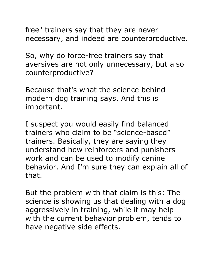free" trainers say that they are never necessary, and indeed are counterproductive.

So, why do force-free trainers say that aversives are not only unnecessary, but also counterproductive?

Because that's what the science behind modern dog training says. And this is important.

I suspect you would easily find balanced trainers who claim to be "science-based" trainers. Basically, they are saying they understand how reinforcers and punishers work and can be used to modify canine behavior. And I'm sure they can explain all of that.

But the problem with that claim is this: The science is showing us that dealing with a dog aggressively in training, while it may help with the current behavior problem, tends to have negative side effects.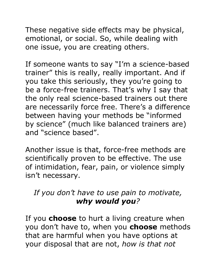These negative side effects may be physical, emotional, or social. So, while dealing with one issue, you are creating others.

If someone wants to say "I'm a science-based trainer" this is really, really important. And if you take this seriously, they you're going to be a force-free trainers. That's why I say that the only real science-based trainers out there are necessarily force free. There's a difference between having your methods be "informed by science" (much like balanced trainers are) and "science based".

Another issue is that, force-free methods are scientifically proven to be effective. The use of intimidation, fear, pain, or violence simply isn't necessary.

#### *If you don't have to use pain to motivate, why would you?*

If you **choose** to hurt a living creature when you don't have to, when you **choose** methods that are harmful when you have options at your disposal that are not, *how is that not*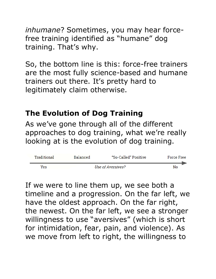*inhumane*? Sometimes, you may hear forcefree training identified as "humane" dog training. That's why.

So, the bottom line is this: force-free trainers are the most fully science-based and humane trainers out there. It's pretty hard to legitimately claim otherwise.

#### **The Evolution of Dog Training**

As we've gone through all of the different approaches to dog training, what we're really looking at is the evolution of dog training.

| Traditional | <b>Balanced</b>   | "So-Called" Positive | Force Free |
|-------------|-------------------|----------------------|------------|
| Yes         | Use of Aversives? |                      | No         |

If we were to line them up, we see both a timeline and a progression. On the far left, we have the oldest approach. On the far right, the newest. On the far left, we see a stronger willingness to use "aversives" (which is short for intimidation, fear, pain, and violence). As we move from left to right, the willingness to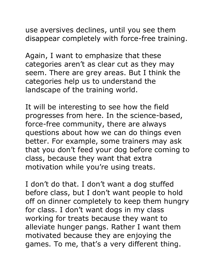use aversives declines, until you see them disappear completely with force-free training.

Again, I want to emphasize that these categories aren't as clear cut as they may seem. There are grey areas. But I think the categories help us to understand the landscape of the training world.

It will be interesting to see how the field progresses from here. In the science-based, force-free community, there are always questions about how we can do things even better. For example, some trainers may ask that you don't feed your dog before coming to class, because they want that extra motivation while you're using treats.

I don't do that. I don't want a dog stuffed before class, but I don't want people to hold off on dinner completely to keep them hungry for class. I don't want dogs in my class working for treats because they want to alleviate hunger pangs. Rather I want them motivated because they are enjoying the games. To me, that's a very different thing.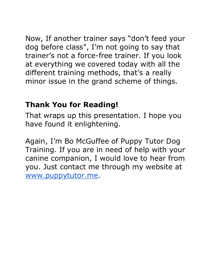Now, If another trainer says "don't feed your dog before class", I'm not going to say that trainer's not a force-free trainer. If you look at everything we covered today with all the different training methods, that's a really minor issue in the grand scheme of things.

#### **Thank You for Reading!**

That wraps up this presentation. I hope you have found it enlightening.

Again, I'm Bo McGuffee of Puppy Tutor Dog Training. If you are in need of help with your canine companion, I would love to hear from you. Just contact me through my website at [www.puppytutor.me.](http://www.puppytutor.me/)